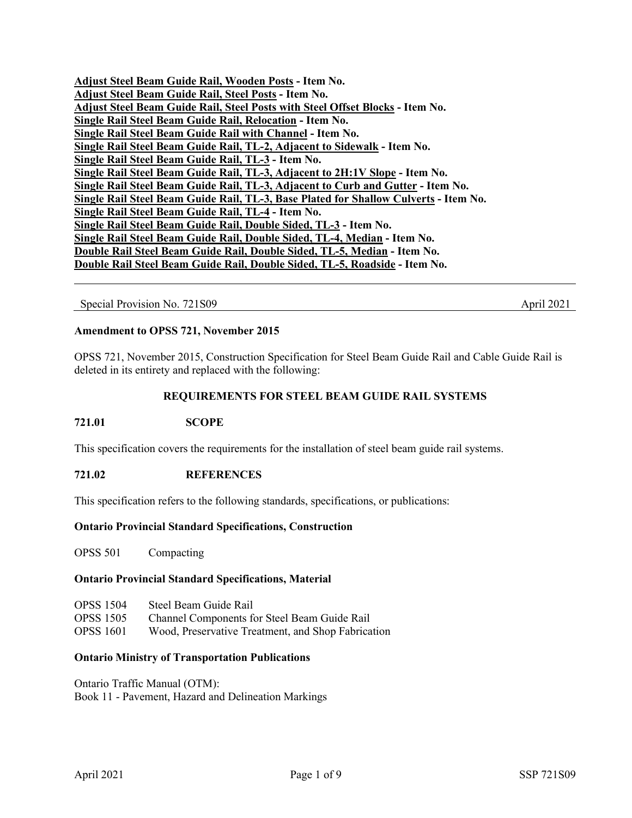| Adjust Steel Beam Guide Rail, Wooden Posts - Item No.                                |
|--------------------------------------------------------------------------------------|
| Adjust Steel Beam Guide Rail, Steel Posts - Item No.                                 |
| Adjust Steel Beam Guide Rail, Steel Posts with Steel Offset Blocks - Item No.        |
| Single Rail Steel Beam Guide Rail, Relocation - Item No.                             |
| Single Rail Steel Beam Guide Rail with Channel - Item No.                            |
| Single Rail Steel Beam Guide Rail, TL-2, Adjacent to Sidewalk - Item No.             |
| Single Rail Steel Beam Guide Rail, TL-3 - Item No.                                   |
| Single Rail Steel Beam Guide Rail, TL-3, Adjacent to 2H:1V Slope - Item No.          |
| Single Rail Steel Beam Guide Rail, TL-3, Adjacent to Curb and Gutter - Item No.      |
| Single Rail Steel Beam Guide Rail, TL-3, Base Plated for Shallow Culverts - Item No. |
| Single Rail Steel Beam Guide Rail, TL-4 - Item No.                                   |
| Single Rail Steel Beam Guide Rail, Double Sided, TL-3 - Item No.                     |
| Single Rail Steel Beam Guide Rail, Double Sided, TL-4, Median - Item No.             |
| Double Rail Steel Beam Guide Rail, Double Sided, TL-5, Median - Item No.             |
| Double Rail Steel Beam Guide Rail, Double Sided, TL-5, Roadside - Item No.           |
|                                                                                      |

Special Provision No. 721S09 April 2021

### **Amendment to OPSS 721, November 2015**

OPSS 721, November 2015, Construction Specification for Steel Beam Guide Rail and Cable Guide Rail is deleted in its entirety and replaced with the following:

## **REQUIREMENTS FOR STEEL BEAM GUIDE RAIL SYSTEMS**

# **721.01 SCOPE**

This specification covers the requirements for the installation of steel beam guide rail systems.

### **721.02 REFERENCES**

This specification refers to the following standards, specifications, or publications:

#### **Ontario Provincial Standard Specifications, Construction**

OPSS 501 Compacting

## **Ontario Provincial Standard Specifications, Material**

| <b>OPSS 1504</b> | Steel Beam Guide Rail                              |
|------------------|----------------------------------------------------|
| <b>OPSS 1505</b> | Channel Components for Steel Beam Guide Rail       |
| <b>OPSS 1601</b> | Wood, Preservative Treatment, and Shop Fabrication |

#### **Ontario Ministry of Transportation Publications**

Ontario Traffic Manual (OTM): Book 11 - Pavement, Hazard and Delineation Markings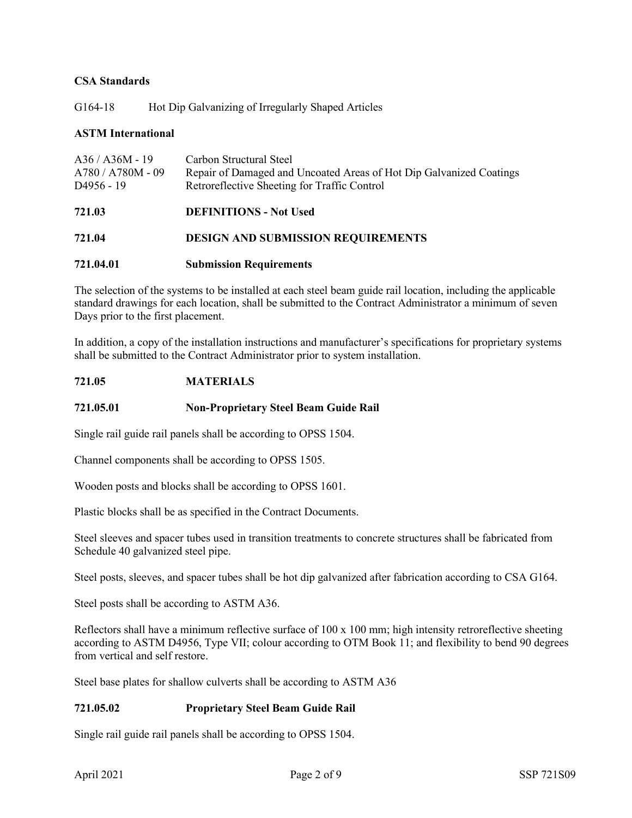# **CSA Standards**

G164-18 Hot Dip Galvanizing of Irregularly Shaped Articles

# **ASTM International**

| $A36 / A36M - 19$<br>$A780 / A780M - 09$<br>D <sub>4956</sub> - 19 | Carbon Structural Steel<br>Repair of Damaged and Uncoated Areas of Hot Dip Galvanized Coatings<br>Retroreflective Sheeting for Traffic Control |
|--------------------------------------------------------------------|------------------------------------------------------------------------------------------------------------------------------------------------|
| 721.03                                                             | <b>DEFINITIONS - Not Used</b>                                                                                                                  |
| 721.04                                                             | <b>DESIGN AND SUBMISSION REQUIREMENTS</b>                                                                                                      |
|                                                                    |                                                                                                                                                |

## **721.04.01 Submission Requirements**

The selection of the systems to be installed at each steel beam guide rail location, including the applicable standard drawings for each location, shall be submitted to the Contract Administrator a minimum of seven Days prior to the first placement.

In addition, a copy of the installation instructions and manufacturer's specifications for proprietary systems shall be submitted to the Contract Administrator prior to system installation.

## **721.05 MATERIALS**

# **721.05.01 Non-Proprietary Steel Beam Guide Rail**

Single rail guide rail panels shall be according to OPSS 1504.

Channel components shall be according to OPSS 1505.

Wooden posts and blocks shall be according to OPSS 1601.

Plastic blocks shall be as specified in the Contract Documents.

Steel sleeves and spacer tubes used in transition treatments to concrete structures shall be fabricated from Schedule 40 galvanized steel pipe.

Steel posts, sleeves, and spacer tubes shall be hot dip galvanized after fabrication according to CSA G164.

Steel posts shall be according to ASTM A36.

Reflectors shall have a minimum reflective surface of 100 x 100 mm; high intensity retroreflective sheeting according to ASTM D4956, Type VII; colour according to OTM Book 11; and flexibility to bend 90 degrees from vertical and self restore.

Steel base plates for shallow culverts shall be according to ASTM A36

## **721.05.02 Proprietary Steel Beam Guide Rail**

Single rail guide rail panels shall be according to OPSS 1504.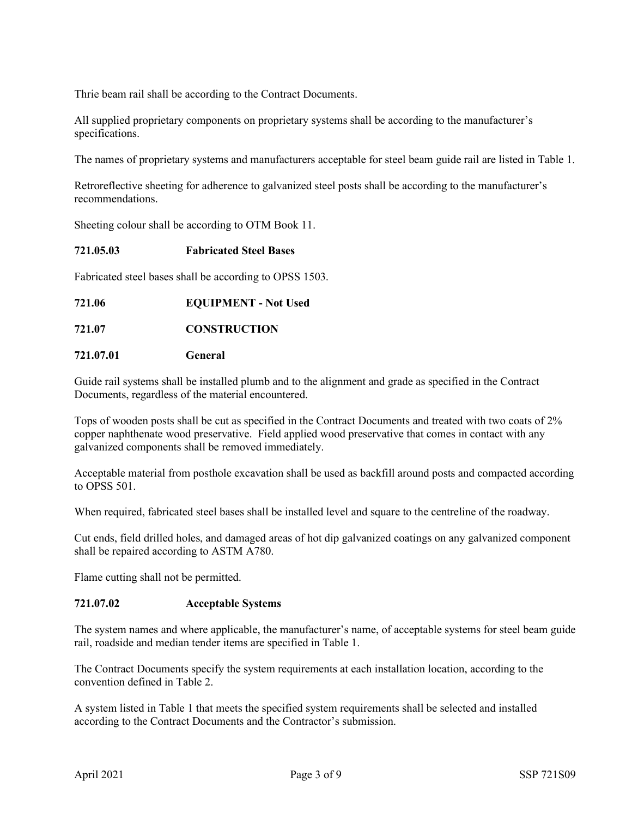Thrie beam rail shall be according to the Contract Documents.

All supplied proprietary components on proprietary systems shall be according to the manufacturer's specifications.

The names of proprietary systems and manufacturers acceptable for steel beam guide rail are listed in Table 1.

Retroreflective sheeting for adherence to galvanized steel posts shall be according to the manufacturer's recommendations.

Sheeting colour shall be according to OTM Book 11.

### **721.05.03 Fabricated Steel Bases**

Fabricated steel bases shall be according to OPSS 1503.

**721.06 EQUIPMENT - Not Used**

## **721.07 CONSTRUCTION**

### **721.07.01 General**

Guide rail systems shall be installed plumb and to the alignment and grade as specified in the Contract Documents, regardless of the material encountered.

Tops of wooden posts shall be cut as specified in the Contract Documents and treated with two coats of 2% copper naphthenate wood preservative. Field applied wood preservative that comes in contact with any galvanized components shall be removed immediately.

Acceptable material from posthole excavation shall be used as backfill around posts and compacted according to OPSS 501.

When required, fabricated steel bases shall be installed level and square to the centreline of the roadway.

Cut ends, field drilled holes, and damaged areas of hot dip galvanized coatings on any galvanized component shall be repaired according to ASTM A780.

Flame cutting shall not be permitted.

### **721.07.02 Acceptable Systems**

The system names and where applicable, the manufacturer's name, of acceptable systems for steel beam guide rail, roadside and median tender items are specified in Table 1.

The Contract Documents specify the system requirements at each installation location, according to the convention defined in Table 2.

A system listed in Table 1 that meets the specified system requirements shall be selected and installed according to the Contract Documents and the Contractor's submission.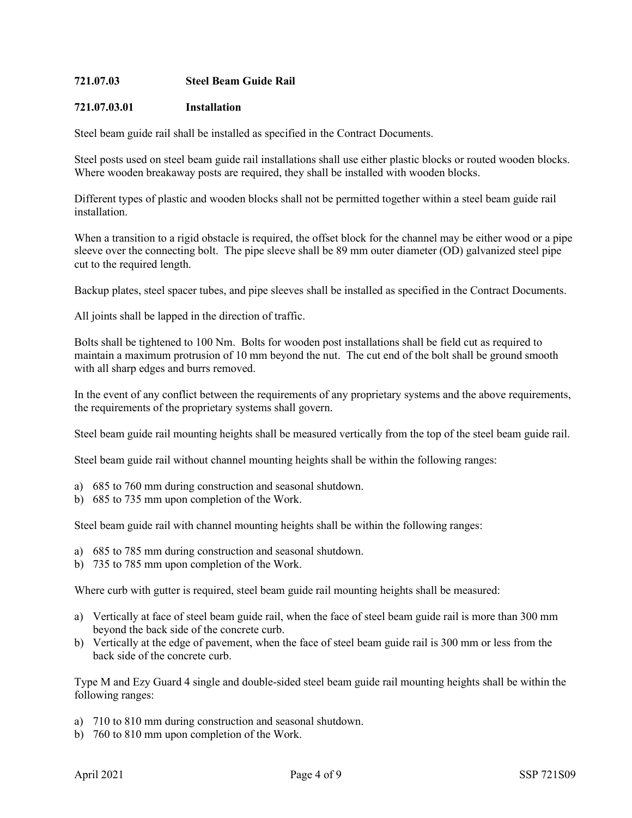# **721.07.03 Steel Beam Guide Rail**

## **721.07.03.01 Installation**

Steel beam guide rail shall be installed as specified in the Contract Documents.

Steel posts used on steel beam guide rail installations shall use either plastic blocks or routed wooden blocks. Where wooden breakaway posts are required, they shall be installed with wooden blocks.

Different types of plastic and wooden blocks shall not be permitted together within a steel beam guide rail installation.

When a transition to a rigid obstacle is required, the offset block for the channel may be either wood or a pipe sleeve over the connecting bolt. The pipe sleeve shall be 89 mm outer diameter (OD) galvanized steel pipe cut to the required length.

Backup plates, steel spacer tubes, and pipe sleeves shall be installed as specified in the Contract Documents.

All joints shall be lapped in the direction of traffic.

Bolts shall be tightened to 100 Nm. Bolts for wooden post installations shall be field cut as required to maintain a maximum protrusion of 10 mm beyond the nut. The cut end of the bolt shall be ground smooth with all sharp edges and burrs removed.

In the event of any conflict between the requirements of any proprietary systems and the above requirements, the requirements of the proprietary systems shall govern.

Steel beam guide rail mounting heights shall be measured vertically from the top of the steel beam guide rail.

Steel beam guide rail without channel mounting heights shall be within the following ranges:

- a) 685 to 760 mm during construction and seasonal shutdown.
- b) 685 to 735 mm upon completion of the Work.

Steel beam guide rail with channel mounting heights shall be within the following ranges:

- a) 685 to 785 mm during construction and seasonal shutdown.
- b) 735 to 785 mm upon completion of the Work.

Where curb with gutter is required, steel beam guide rail mounting heights shall be measured:

- a) Vertically at face of steel beam guide rail, when the face of steel beam guide rail is more than 300 mm beyond the back side of the concrete curb.
- b) Vertically at the edge of pavement, when the face of steel beam guide rail is 300 mm or less from the back side of the concrete curb.

Type M and Ezy Guard 4 single and double-sided steel beam guide rail mounting heights shall be within the following ranges:

- a) 710 to 810 mm during construction and seasonal shutdown.
- b) 760 to 810 mm upon completion of the Work.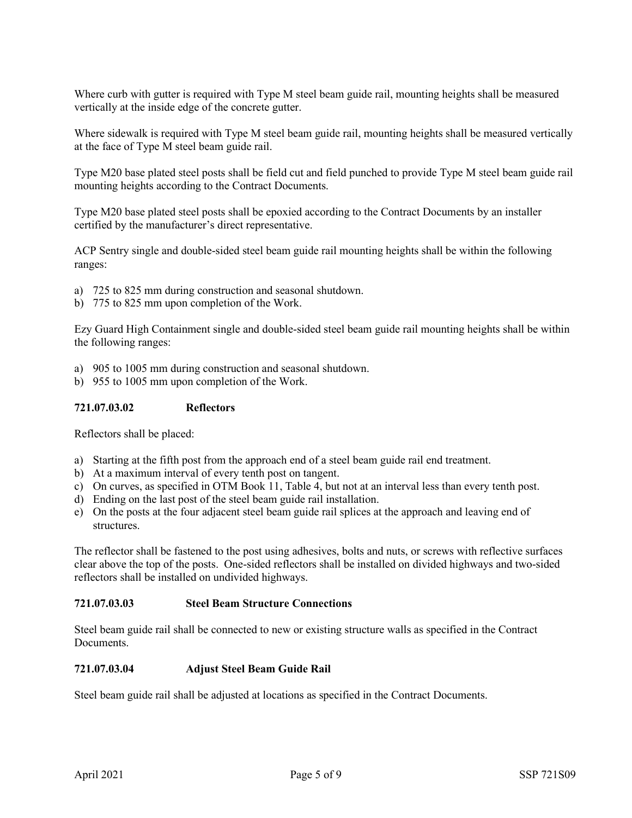Where curb with gutter is required with Type M steel beam guide rail, mounting heights shall be measured vertically at the inside edge of the concrete gutter.

Where sidewalk is required with Type M steel beam guide rail, mounting heights shall be measured vertically at the face of Type M steel beam guide rail.

Type M20 base plated steel posts shall be field cut and field punched to provide Type M steel beam guide rail mounting heights according to the Contract Documents.

Type M20 base plated steel posts shall be epoxied according to the Contract Documents by an installer certified by the manufacturer's direct representative.

ACP Sentry single and double-sided steel beam guide rail mounting heights shall be within the following ranges:

- a) 725 to 825 mm during construction and seasonal shutdown.
- b) 775 to 825 mm upon completion of the Work.

Ezy Guard High Containment single and double-sided steel beam guide rail mounting heights shall be within the following ranges:

- a) 905 to 1005 mm during construction and seasonal shutdown.
- b) 955 to 1005 mm upon completion of the Work.

### **721.07.03.02 Reflectors**

Reflectors shall be placed:

- a) Starting at the fifth post from the approach end of a steel beam guide rail end treatment.
- b) At a maximum interval of every tenth post on tangent.
- c) On curves, as specified in OTM Book 11, Table 4, but not at an interval less than every tenth post.
- d) Ending on the last post of the steel beam guide rail installation.
- e) On the posts at the four adjacent steel beam guide rail splices at the approach and leaving end of structures.

The reflector shall be fastened to the post using adhesives, bolts and nuts, or screws with reflective surfaces clear above the top of the posts. One-sided reflectors shall be installed on divided highways and two-sided reflectors shall be installed on undivided highways.

### **721.07.03.03 Steel Beam Structure Connections**

Steel beam guide rail shall be connected to new or existing structure walls as specified in the Contract Documents.

#### **721.07.03.04 Adjust Steel Beam Guide Rail**

Steel beam guide rail shall be adjusted at locations as specified in the Contract Documents.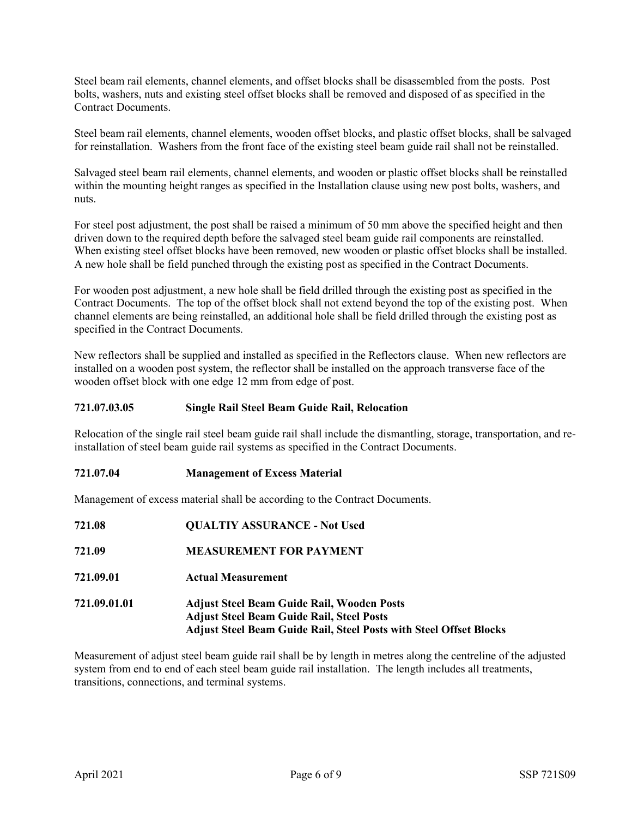Steel beam rail elements, channel elements, and offset blocks shall be disassembled from the posts. Post bolts, washers, nuts and existing steel offset blocks shall be removed and disposed of as specified in the Contract Documents.

Steel beam rail elements, channel elements, wooden offset blocks, and plastic offset blocks, shall be salvaged for reinstallation. Washers from the front face of the existing steel beam guide rail shall not be reinstalled.

Salvaged steel beam rail elements, channel elements, and wooden or plastic offset blocks shall be reinstalled within the mounting height ranges as specified in the Installation clause using new post bolts, washers, and nuts.

For steel post adjustment, the post shall be raised a minimum of 50 mm above the specified height and then driven down to the required depth before the salvaged steel beam guide rail components are reinstalled. When existing steel offset blocks have been removed, new wooden or plastic offset blocks shall be installed. A new hole shall be field punched through the existing post as specified in the Contract Documents.

For wooden post adjustment, a new hole shall be field drilled through the existing post as specified in the Contract Documents. The top of the offset block shall not extend beyond the top of the existing post. When channel elements are being reinstalled, an additional hole shall be field drilled through the existing post as specified in the Contract Documents.

New reflectors shall be supplied and installed as specified in the Reflectors clause. When new reflectors are installed on a wooden post system, the reflector shall be installed on the approach transverse face of the wooden offset block with one edge 12 mm from edge of post.

## **721.07.03.05 Single Rail Steel Beam Guide Rail, Relocation**

Relocation of the single rail steel beam guide rail shall include the dismantling, storage, transportation, and reinstallation of steel beam guide rail systems as specified in the Contract Documents.

#### **721.07.04 Management of Excess Material**

Management of excess material shall be according to the Contract Documents.

| 721.08       | <b>QUALTIY ASSURANCE - Not Used</b>                                                                                                                                                |
|--------------|------------------------------------------------------------------------------------------------------------------------------------------------------------------------------------|
| 721.09       | <b>MEASUREMENT FOR PAYMENT</b>                                                                                                                                                     |
| 721.09.01    | <b>Actual Measurement</b>                                                                                                                                                          |
| 721.09.01.01 | <b>Adjust Steel Beam Guide Rail, Wooden Posts</b><br><b>Adjust Steel Beam Guide Rail, Steel Posts</b><br><b>Adjust Steel Beam Guide Rail, Steel Posts with Steel Offset Blocks</b> |

Measurement of adjust steel beam guide rail shall be by length in metres along the centreline of the adjusted system from end to end of each steel beam guide rail installation. The length includes all treatments, transitions, connections, and terminal systems.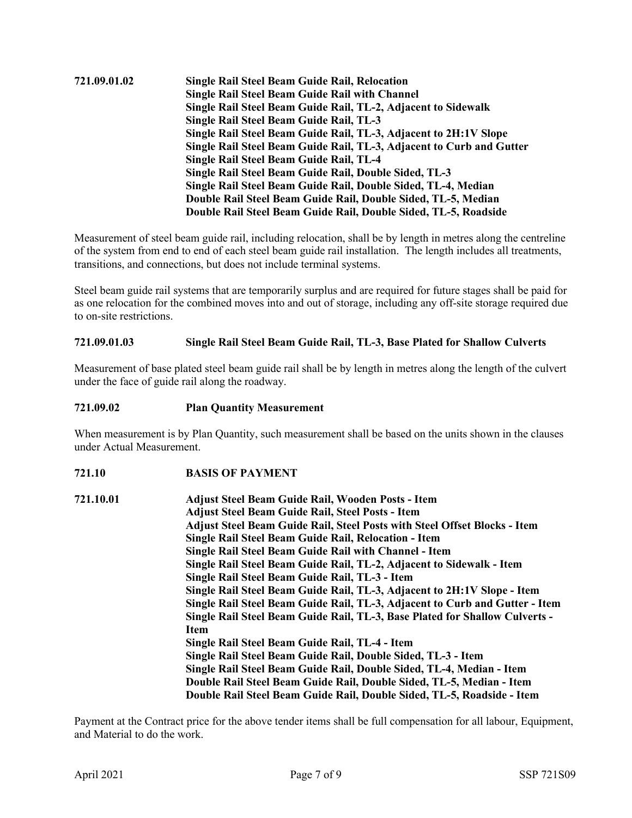# **721.09.01.02 Single Rail Steel Beam Guide Rail, Relocation Single Rail Steel Beam Guide Rail with Channel Single Rail Steel Beam Guide Rail, TL-2, Adjacent to Sidewalk Single Rail Steel Beam Guide Rail, TL-3 Single Rail Steel Beam Guide Rail, TL-3, Adjacent to 2H:1V Slope Single Rail Steel Beam Guide Rail, TL-3, Adjacent to Curb and Gutter Single Rail Steel Beam Guide Rail, TL-4 Single Rail Steel Beam Guide Rail, Double Sided, TL-3 Single Rail Steel Beam Guide Rail, Double Sided, TL-4, Median Double Rail Steel Beam Guide Rail, Double Sided, TL-5, Median Double Rail Steel Beam Guide Rail, Double Sided, TL-5, Roadside**

Measurement of steel beam guide rail, including relocation, shall be by length in metres along the centreline of the system from end to end of each steel beam guide rail installation. The length includes all treatments, transitions, and connections, but does not include terminal systems.

Steel beam guide rail systems that are temporarily surplus and are required for future stages shall be paid for as one relocation for the combined moves into and out of storage, including any off-site storage required due to on-site restrictions.

## **721.09.01.03 Single Rail Steel Beam Guide Rail, TL-3, Base Plated for Shallow Culverts**

Measurement of base plated steel beam guide rail shall be by length in metres along the length of the culvert under the face of guide rail along the roadway.

**721.09.02 Plan Quantity Measurement**

When measurement is by Plan Quantity, such measurement shall be based on the units shown in the clauses under Actual Measurement.

- **721.10 BASIS OF PAYMENT**
- **721.10.01 Adjust Steel Beam Guide Rail, Wooden Posts - Item Adjust Steel Beam Guide Rail, Steel Posts - Item Adjust Steel Beam Guide Rail, Steel Posts with Steel Offset Blocks - Item Single Rail Steel Beam Guide Rail, Relocation - Item Single Rail Steel Beam Guide Rail with Channel - Item Single Rail Steel Beam Guide Rail, TL-2, Adjacent to Sidewalk - Item Single Rail Steel Beam Guide Rail, TL-3 - Item Single Rail Steel Beam Guide Rail, TL-3, Adjacent to 2H:1V Slope - Item Single Rail Steel Beam Guide Rail, TL-3, Adjacent to Curb and Gutter - Item Single Rail Steel Beam Guide Rail, TL-3, Base Plated for Shallow Culverts - Item Single Rail Steel Beam Guide Rail, TL-4 - Item Single Rail Steel Beam Guide Rail, Double Sided, TL-3 - Item Single Rail Steel Beam Guide Rail, Double Sided, TL-4, Median - Item Double Rail Steel Beam Guide Rail, Double Sided, TL-5, Median - Item Double Rail Steel Beam Guide Rail, Double Sided, TL-5, Roadside - Item**

Payment at the Contract price for the above tender items shall be full compensation for all labour, Equipment, and Material to do the work.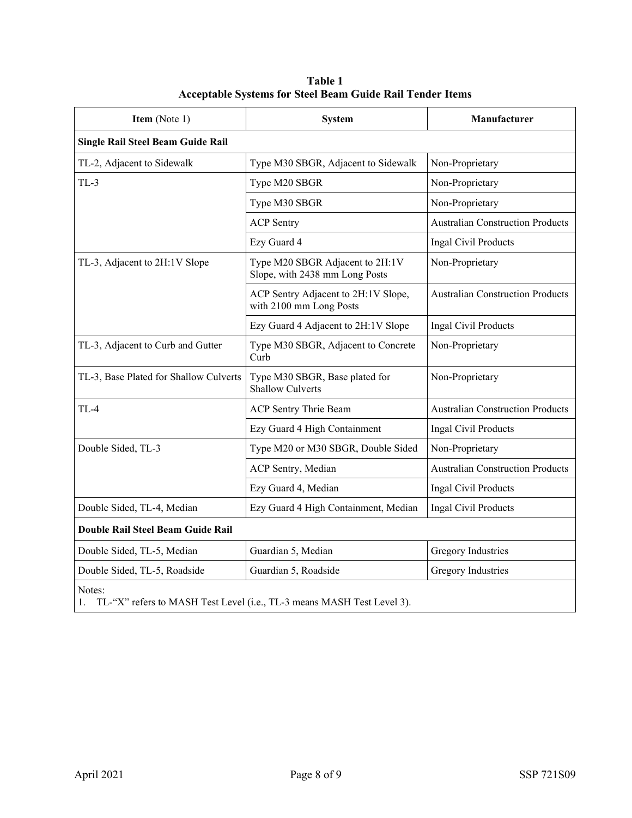| Item (Note 1)                                                                          | <b>System</b>                                                     | Manufacturer                            |  |  |
|----------------------------------------------------------------------------------------|-------------------------------------------------------------------|-----------------------------------------|--|--|
| Single Rail Steel Beam Guide Rail                                                      |                                                                   |                                         |  |  |
| TL-2, Adjacent to Sidewalk                                                             | Type M30 SBGR, Adjacent to Sidewalk                               | Non-Proprietary                         |  |  |
| $TL-3$                                                                                 | Type M20 SBGR                                                     | Non-Proprietary                         |  |  |
|                                                                                        | Type M30 SBGR                                                     | Non-Proprietary                         |  |  |
|                                                                                        | <b>ACP Sentry</b>                                                 | <b>Australian Construction Products</b> |  |  |
|                                                                                        | Ezy Guard 4                                                       | Ingal Civil Products                    |  |  |
| TL-3, Adjacent to 2H:1V Slope                                                          | Type M20 SBGR Adjacent to 2H:1V<br>Slope, with 2438 mm Long Posts | Non-Proprietary                         |  |  |
|                                                                                        | ACP Sentry Adjacent to 2H:1V Slope,<br>with 2100 mm Long Posts    | <b>Australian Construction Products</b> |  |  |
|                                                                                        | Ezy Guard 4 Adjacent to 2H:1V Slope                               | Ingal Civil Products                    |  |  |
| TL-3, Adjacent to Curb and Gutter                                                      | Type M30 SBGR, Adjacent to Concrete<br>Curb                       | Non-Proprietary                         |  |  |
| TL-3, Base Plated for Shallow Culverts                                                 | Type M30 SBGR, Base plated for<br><b>Shallow Culverts</b>         | Non-Proprietary                         |  |  |
| $TL-4$                                                                                 | ACP Sentry Thrie Beam                                             | <b>Australian Construction Products</b> |  |  |
|                                                                                        | Ezy Guard 4 High Containment                                      | Ingal Civil Products                    |  |  |
| Double Sided, TL-3                                                                     | Type M20 or M30 SBGR, Double Sided                                | Non-Proprietary                         |  |  |
|                                                                                        | ACP Sentry, Median                                                | <b>Australian Construction Products</b> |  |  |
|                                                                                        | Ezy Guard 4, Median                                               | Ingal Civil Products                    |  |  |
| Double Sided, TL-4, Median                                                             | Ezy Guard 4 High Containment, Median                              | Ingal Civil Products                    |  |  |
| Double Rail Steel Beam Guide Rail                                                      |                                                                   |                                         |  |  |
| Double Sided, TL-5, Median                                                             | Guardian 5, Median                                                | <b>Gregory Industries</b>               |  |  |
| Double Sided, TL-5, Roadside                                                           | Guardian 5, Roadside                                              | <b>Gregory Industries</b>               |  |  |
| Notes:<br>TL-"X" refers to MASH Test Level (i.e., TL-3 means MASH Test Level 3).<br>1. |                                                                   |                                         |  |  |

**Table 1 Acceptable Systems for Steel Beam Guide Rail Tender Items**